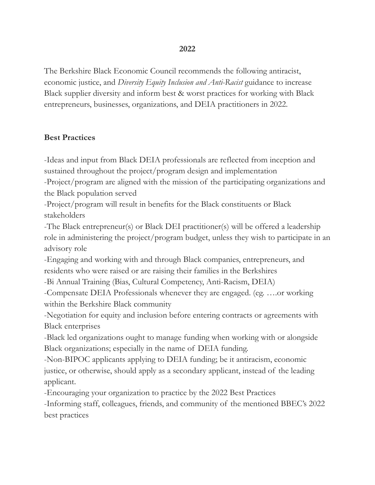#### **2022**

The Berkshire Black Economic Council recommends the following antiracist, economic justice, and *Diversity Equity Inclusion and Anti-Racist* guidance to increase Black supplier diversity and inform best & worst practices for working with Black entrepreneurs, businesses, organizations, and DEIA practitioners in 2022.

#### **Best Practices**

-Ideas and input from Black DEIA professionals are reflected from inception and sustained throughout the project/program design and implementation

-Project/program are aligned with the mission of the participating organizations and the Black population served

-Project/program will result in benefits for the Black constituents or Black stakeholders

-The Black entrepreneur(s) or Black DEI practitioner(s) will be offered a leadership role in administering the project/program budget, unless they wish to participate in an advisory role

-Engaging and working with and through Black companies, entrepreneurs, and residents who were raised or are raising their families in the Berkshires

-Bi Annual Training (Bias, Cultural Competency, Anti-Racism, DEIA)

-Compensate DEIA Professionals whenever they are engaged. (eg. ….or working within the Berkshire Black community

-Negotiation for equity and inclusion before entering contracts or agreements with Black enterprises

-Black led organizations ought to manage funding when working with or alongside Black organizations; especially in the name of DEIA funding.

-Non-BIPOC applicants applying to DEIA funding; be it antiracism, economic justice, or otherwise, should apply as a secondary applicant, instead of the leading applicant.

-Encouraging your organization to practice by the 2022 Best Practices

-Informing staff, colleagues, friends, and community of the mentioned BBEC's 2022 best practices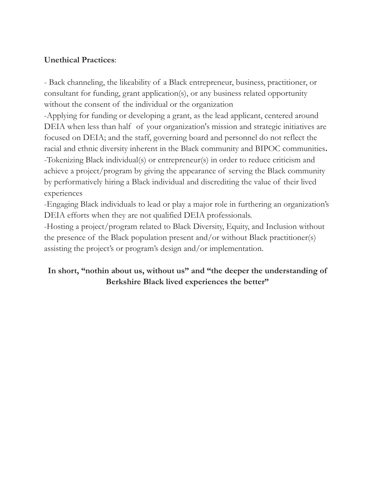#### **Unethical Practices**:

- Back channeling, the likeability of a Black entrepreneur, business, practitioner, or consultant for funding, grant application(s), or any business related opportunity without the consent of the individual or the organization

-Applying for funding or developing a grant, as the lead applicant, centered around DEIA when less than half of your organization's mission and strategic initiatives are focused on DEIA; and the staff, governing board and personnel do not reflect the racial and ethnic diversity inherent in the Black community and BIPOC communities**.** -Tokenizing Black individual(s) or entrepreneur(s) in order to reduce criticism and achieve a project/program by giving the appearance of serving the Black community by performatively hiring a Black individual and discrediting the value of their lived experiences

-Engaging Black individuals to lead or play a major role in furthering an organization's DEIA efforts when they are not qualified DEIA professionals.

-Hosting a project/program related to Black Diversity, Equity, and Inclusion without the presence of the Black population present and/or without Black practitioner(s) assisting the project's or program's design and/or implementation.

### **In short, "nothin about us, without us" and "the deeper the understanding of Berkshire Black lived experiences the better"**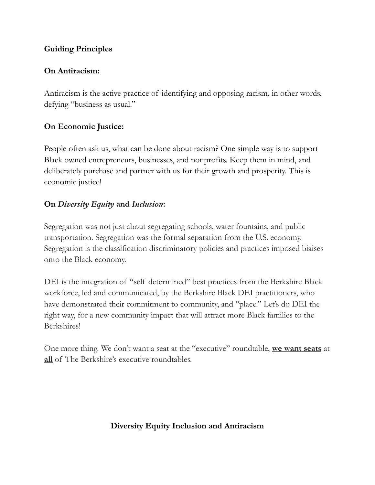#### **Guiding Principles**

## **On Antiracism:**

Antiracism is the active practice of identifying and opposing racism, in other words, defying "business as usual."

# **On Economic Justice:**

People often ask us, what can be done about racism? One simple way is to support Black owned entrepreneurs, businesses, and nonprofits. Keep them in mind, and deliberately purchase and partner with us for their growth and prosperity. This is economic justice!

## **On** *Diversity Equity* **and** *Inclusion***:**

Segregation was not just about segregating schools, water fountains, and public transportation. Segregation was the formal separation from the U.S. economy. Segregation is the classification discriminatory policies and practices imposed biaises onto the Black economy.

DEI is the integration of "self determined" best practices from the Berkshire Black workforce, led and communicated, by the Berkshire Black DEI practitioners, who have demonstrated their commitment to community, and "place." Let's do DEI the right way, for a new community impact that will attract more Black families to the Berkshires!

One more thing. We don't want a seat at the "executive" roundtable, **we want seats** at **all** of The Berkshire's executive roundtables.

## **Diversity Equity Inclusion and Antiracism**